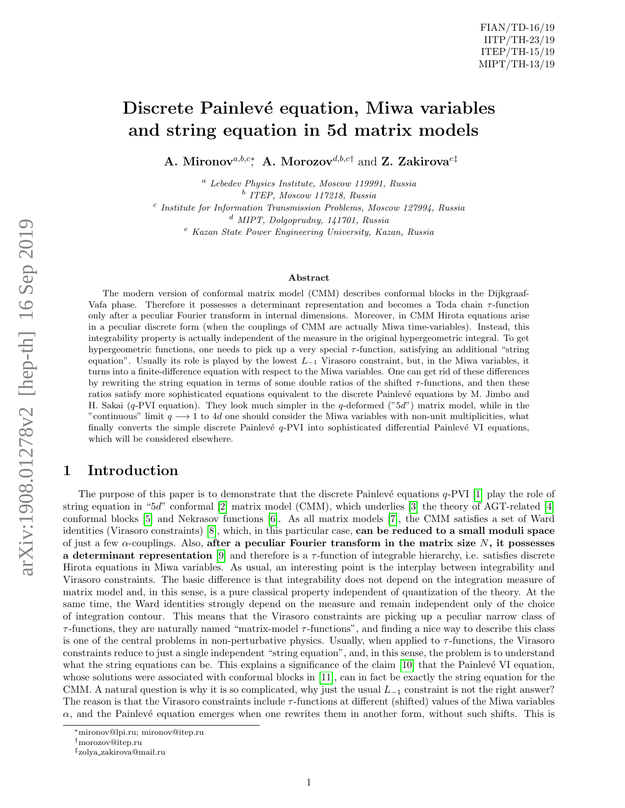# Discrete Painlevé equation, Miwa variables and string equation in 5d matrix models

A. Mironov<sup>a,b,c\*</sup>, A. Morozov<sup>d,b,c†</sup> and Z. Zakirova<sup>e‡</sup>

<sup>a</sup> Lebedev Physics Institute, Moscow 119991, Russia b ITEP, Moscow 117218, Russia <sup>c</sup> Institute for Information Transmission Problems, Moscow 127994, Russia <sup>d</sup> MIPT, Dolgoprudny, 141701, Russia

<sup>e</sup> Kazan State Power Engineering University, Kazan, Russia

#### Abstract

The modern version of conformal matrix model (CMM) describes conformal blocks in the Dijkgraaf-Vafa phase. Therefore it possesses a determinant representation and becomes a Toda chain τ-function only after a peculiar Fourier transform in internal dimensions. Moreover, in CMM Hirota equations arise in a peculiar discrete form (when the couplings of CMM are actually Miwa time-variables). Instead, this integrability property is actually independent of the measure in the original hypergeometric integral. To get hypergeometric functions, one needs to pick up a very special  $\tau$ -function, satisfying an additional "string" equation". Usually its role is played by the lowest  $L_{-1}$  Virasoro constraint, but, in the Miwa variables, it turns into a finite-difference equation with respect to the Miwa variables. One can get rid of these differences by rewriting the string equation in terms of some double ratios of the shifted  $\tau$ -functions, and then these ratios satisfy more sophisticated equations equivalent to the discrete Painlevé equations by M. Jimbo and H. Sakai (q-PVI equation). They look much simpler in the q-deformed ( $"5d"$ ) matrix model, while in the "continuous" limit  $q \rightarrow 1$  to 4d one should consider the Miwa variables with non-unit multiplicities, what finally converts the simple discrete Painlevé  $q$ -PVI into sophisticated differential Painlevé VI equations, which will be considered elsewhere.

# 1 Introduction

The purpose of this paper is to demonstrate that the discrete Painlevé equations  $q$ -PVI [\[1\]](#page-10-0) play the role of string equation in "5d" conformal [\[2\]](#page-10-1) matrix model (CMM), which underlies [\[3\]](#page-10-2) the theory of AGT-related [\[4\]](#page-11-0) conformal blocks [\[5\]](#page-11-1) and Nekrasov functions [\[6\]](#page-11-2). As all matrix models [\[7\]](#page-11-3), the CMM satisfies a set of Ward identities (Virasoro constraints) [\[8\]](#page-11-4), which, in this particular case, can be reduced to a small moduli space of just a few  $\alpha$ -couplings. Also, after a peculiar Fourier transform in the matrix size N, it possesses a determinant representation [\[9\]](#page-11-5) and therefore is a  $\tau$ -function of integrable hierarchy, i.e. satisfies discrete Hirota equations in Miwa variables. As usual, an interesting point is the interplay between integrability and Virasoro constraints. The basic difference is that integrability does not depend on the integration measure of matrix model and, in this sense, is a pure classical property independent of quantization of the theory. At the same time, the Ward identities strongly depend on the measure and remain independent only of the choice of integration contour. This means that the Virasoro constraints are picking up a peculiar narrow class of  $\tau$ -functions, they are naturally named "matrix-model  $\tau$ -functions", and finding a nice way to describe this class is one of the central problems in non-perturbative physics. Usually, when applied to  $\tau$ -functions, the Virasoro constraints reduce to just a single independent "string equation", and, in this sense, the problem is to understand what the string equations can be. This explains a significance of the claim  $[10]$  that the Painlevé VI equation, whose solutions were associated with conformal blocks in [\[11\]](#page-11-7), can in fact be exactly the string equation for the CMM. A natural question is why it is so complicated, why just the usual  $L_{-1}$  constraint is not the right answer? The reason is that the Virasoro constraints include  $\tau$ -functions at different (shifted) values of the Miwa variables  $\alpha$ , and the Painlevé equation emerges when one rewrites them in another form, without such shifts. This is

<sup>∗</sup>mironov@lpi.ru; mironov@itep.ru

<sup>†</sup>morozov@itep.ru

<sup>‡</sup>zolya zakirova@mail.ru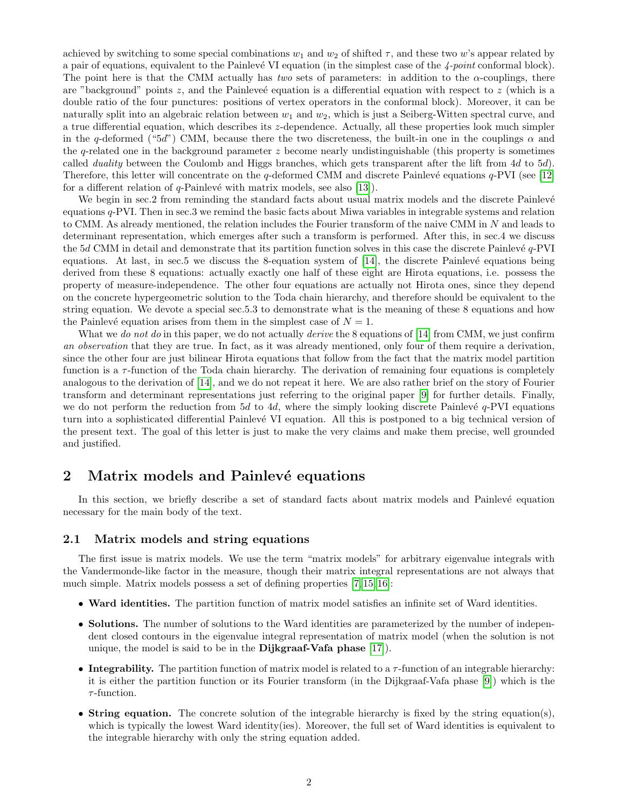achieved by switching to some special combinations  $w_1$  and  $w_2$  of shifted  $\tau$ , and these two w's appear related by a pair of equations, equivalent to the Painlevé VI equation (in the simplest case of the  $4$ -point conformal block). The point here is that the CMM actually has two sets of parameters: in addition to the  $\alpha$ -couplings, there are "background" points  $z$ , and the Painleve' equation is a differential equation with respect to  $z$  (which is a double ratio of the four punctures: positions of vertex operators in the conformal block). Moreover, it can be naturally split into an algebraic relation between  $w_1$  and  $w_2$ , which is just a Seiberg-Witten spectral curve, and a true differential equation, which describes its z-dependence. Actually, all these properties look much simpler in the q-deformed ("5d") CMM, because there the two discreteness, the built-in one in the couplings  $\alpha$  and the q-related one in the background parameter  $z$  become nearly undistinguishable (this property is sometimes called duality between the Coulomb and Higgs branches, which gets transparent after the lift from 4d to 5d). Therefore, this letter will concentrate on the q-deformed CMM and discrete Painlevé equations  $q$ -PVI (see [\[12\]](#page-11-8) for a different relation of  $q$ -Painlevé with matrix models, see also [\[13\]](#page-11-9)).

We begin in sec.2 from reminding the standard facts about usual matrix models and the discrete Painlevé equations  $q$ -PVI. Then in sec.3 we remind the basic facts about Miwa variables in integrable systems and relation to CMM. As already mentioned, the relation includes the Fourier transform of the naive CMM in N and leads to determinant representation, which emerges after such a transform is performed. After this, in sec.4 we discuss the  $5d$  CMM in detail and demonstrate that its partition function solves in this case the discrete Painlevé  $q$ -PVI equations. At last, in sec.5 we discuss the 8-equation system of  $[14]$ , the discrete Painlevé equations being derived from these 8 equations: actually exactly one half of these eight are Hirota equations, i.e. possess the property of measure-independence. The other four equations are actually not Hirota ones, since they depend on the concrete hypergeometric solution to the Toda chain hierarchy, and therefore should be equivalent to the string equation. We devote a special sec.5.3 to demonstrate what is the meaning of these 8 equations and how the Painlevé equation arises from them in the simplest case of  $N = 1$ .

What we do not do in this paper, we do not actually derive the 8 equations of [\[14\]](#page-11-10) from CMM, we just confirm an observation that they are true. In fact, as it was already mentioned, only four of them require a derivation, since the other four are just bilinear Hirota equations that follow from the fact that the matrix model partition function is a  $\tau$ -function of the Toda chain hierarchy. The derivation of remaining four equations is completely analogous to the derivation of [\[14\]](#page-11-10), and we do not repeat it here. We are also rather brief on the story of Fourier transform and determinant representations just referring to the original paper [\[9\]](#page-11-5) for further details. Finally, we do not perform the reduction from 5d to 4d, where the simply looking discrete Painlevé  $q$ -PVI equations turn into a sophisticated differential Painlevé VI equation. All this is postponed to a big technical version of the present text. The goal of this letter is just to make the very claims and make them precise, well grounded and justified.

# 2 Matrix models and Painlevé equations

In this section, we briefly describe a set of standard facts about matrix models and Painlevé equation necessary for the main body of the text.

#### 2.1 Matrix models and string equations

The first issue is matrix models. We use the term "matrix models" for arbitrary eigenvalue integrals with the Vandermonde-like factor in the measure, though their matrix integral representations are not always that much simple. Matrix models possess a set of defining properties [\[7,](#page-11-3) [15,](#page-11-11) [16\]](#page-11-12):

- Ward identities. The partition function of matrix model satisfies an infinite set of Ward identities.
- Solutions. The number of solutions to the Ward identities are parameterized by the number of independent closed contours in the eigenvalue integral representation of matrix model (when the solution is not unique, the model is said to be in the **Dijkgraaf-Vafa phase**  $[17]$ .
- Integrability. The partition function of matrix model is related to a  $\tau$ -function of an integrable hierarchy: it is either the partition function or its Fourier transform (in the Dijkgraaf-Vafa phase [\[9\]](#page-11-5)) which is the  $\tau$ -function.
- String equation. The concrete solution of the integrable hierarchy is fixed by the string equation(s), which is typically the lowest Ward identity(ies). Moreover, the full set of Ward identities is equivalent to the integrable hierarchy with only the string equation added.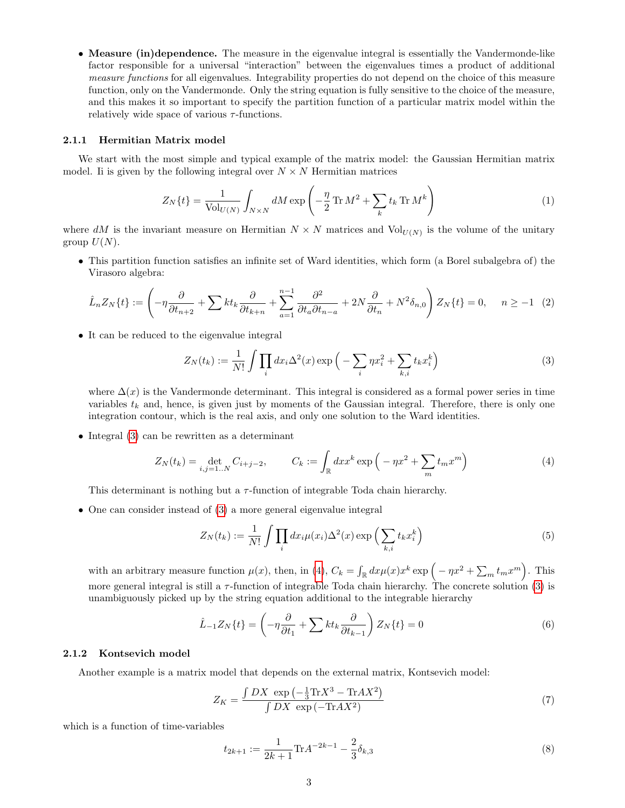• Measure (in)dependence. The measure in the eigenvalue integral is essentially the Vandermonde-like factor responsible for a universal "interaction" between the eigenvalues times a product of additional measure functions for all eigenvalues. Integrability properties do not depend on the choice of this measure function, only on the Vandermonde. Only the string equation is fully sensitive to the choice of the measure, and this makes it so important to specify the partition function of a particular matrix model within the relatively wide space of various  $\tau$ -functions.

#### 2.1.1 Hermitian Matrix model

We start with the most simple and typical example of the matrix model: the Gaussian Hermitian matrix model. It is given by the following integral over  $N \times N$  Hermitian matrices

$$
Z_N\{t\} = \frac{1}{\text{Vol}_{U(N)}} \int_{N \times N} dM \exp\left(-\frac{\eta}{2} \text{Tr} M^2 + \sum_k t_k \text{Tr} M^k\right) \tag{1}
$$

where dM is the invariant measure on Hermitian  $N \times N$  matrices and  $Vol_{U(N)}$  is the volume of the unitary group  $U(N)$ .

• This partition function satisfies an infinite set of Ward identities, which form (a Borel subalgebra of) the Virasoro algebra:

$$
\hat{L}_n Z_N\{t\} := \left(-\eta \frac{\partial}{\partial t_{n+2}} + \sum k t_k \frac{\partial}{\partial t_{k+n}} + \sum_{a=1}^{n-1} \frac{\partial^2}{\partial t_a \partial t_{n-a}} + 2N \frac{\partial}{\partial t_n} + N^2 \delta_{n,0}\right) Z_N\{t\} = 0, \quad n \ge -1 \tag{2}
$$

• It can be reduced to the eigenvalue integral

<span id="page-2-0"></span>
$$
Z_N(t_k) := \frac{1}{N!} \int \prod_i dx_i \Delta^2(x) \exp\left(-\sum_i \eta x_i^2 + \sum_{k,i} t_k x_i^k\right)
$$
(3)

where  $\Delta(x)$  is the Vandermonde determinant. This integral is considered as a formal power series in time variables  $t_k$  and, hence, is given just by moments of the Gaussian integral. Therefore, there is only one integration contour, which is the real axis, and only one solution to the Ward identities.

• Integral [\(3\)](#page-2-0) can be rewritten as a determinant

<span id="page-2-1"></span>
$$
Z_N(t_k) = \det_{i,j=1..N} C_{i+j-2}, \qquad C_k := \int_{\mathbb{R}} dx x^k \exp\left(-\eta x^2 + \sum_m t_m x^m\right) \tag{4}
$$

This determinant is nothing but a  $\tau$ -function of integrable Toda chain hierarchy.

• One can consider instead of [\(3\)](#page-2-0) a more general eigenvalue integral

<span id="page-2-2"></span>
$$
Z_N(t_k) := \frac{1}{N!} \int \prod_i dx_i \mu(x_i) \Delta^2(x) \exp\left(\sum_{k,i} t_k x_i^k\right)
$$
(5)

with an arbitrary measure function  $\mu(x)$ , then, in [\(4\)](#page-2-1),  $C_k = \int_{\mathbb{R}} dx \mu(x) x^k \exp\{-\eta x^2 + \sum_m t_m x^m\}$ . This more general integral is still a  $\tau$ -function of integrable Toda chain hierarchy. The concrete solution [\(3\)](#page-2-0) is unambiguously picked up by the string equation additional to the integrable hierarchy

$$
\hat{L}_{-1}Z_N\{t\} = \left(-\eta \frac{\partial}{\partial t_1} + \sum kt_k \frac{\partial}{\partial t_{k-1}}\right) Z_N\{t\} = 0
$$
\n(6)

#### <span id="page-2-3"></span>2.1.2 Kontsevich model

Another example is a matrix model that depends on the external matrix, Kontsevich model:

$$
Z_K = \frac{\int DX \exp\left(-\frac{1}{3}\text{Tr}X^3 - \text{Tr}AX^2\right)}{\int DX \exp\left(-\text{Tr}AX^2\right)}\tag{7}
$$

which is a function of time-variables

$$
t_{2k+1} := \frac{1}{2k+1} \text{Tr} A^{-2k-1} - \frac{2}{3} \delta_{k,3} \tag{8}
$$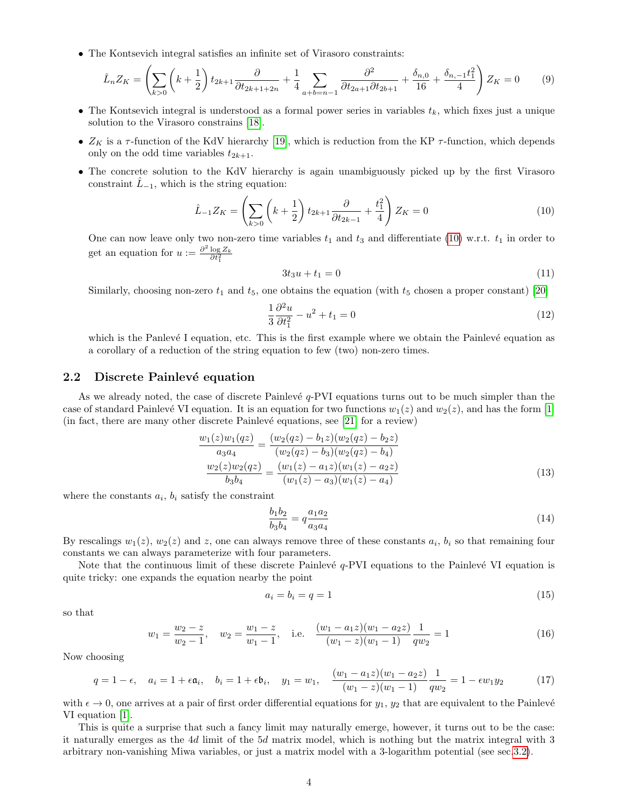• The Kontsevich integral satisfies an infinite set of Virasoro constraints:

$$
\hat{L}_n Z_K = \left(\sum_{k>0} \left(k + \frac{1}{2}\right) t_{2k+1} \frac{\partial}{\partial t_{2k+1+2n}} + \frac{1}{4} \sum_{a+b=n-1} \frac{\partial^2}{\partial t_{2a+1} \partial t_{2b+1}} + \frac{\delta_{n,0}}{16} + \frac{\delta_{n,-1} t_1^2}{4}\right) Z_K = 0 \tag{9}
$$

- The Kontsevich integral is understood as a formal power series in variables  $t_k$ , which fixes just a unique solution to the Virasoro constrains [\[18\]](#page-11-14).
- $Z_K$  is a  $\tau$ -function of the KdV hierarchy [\[19\]](#page-11-15), which is reduction from the KP  $\tau$ -function, which depends only on the odd time variables  $t_{2k+1}$ .
- The concrete solution to the KdV hierarchy is again unambiguously picked up by the first Virasoro constraint  $\tilde{L}_{-1}$ , which is the string equation:

<span id="page-3-0"></span>
$$
\hat{L}_{-1}Z_K = \left(\sum_{k>0} \left(k + \frac{1}{2}\right) t_{2k+1} \frac{\partial}{\partial t_{2k-1}} + \frac{t_1^2}{4}\right) Z_K = 0 \tag{10}
$$

One can now leave only two non-zero time variables  $t_1$  and  $t_3$  and differentiate [\(10\)](#page-3-0) w.r.t.  $t_1$  in order to get an equation for  $u := \frac{\partial^2 \log Z_k}{\partial t_1^2}$ 

$$
3t_3u + t_1 = 0 \tag{11}
$$

Similarly, choosing non-zero  $t_1$  and  $t_5$ , one obtains the equation (with  $t_5$  chosen a proper constant) [\[20\]](#page-11-16)

<span id="page-3-2"></span>
$$
\frac{1}{3}\frac{\partial^2 u}{\partial t_1^2} - u^2 + t_1 = 0\tag{12}
$$

which is the Panlevé I equation, etc. This is the first example where we obtain the Painlevé equation as a corollary of a reduction of the string equation to few (two) non-zero times.

#### 2.2 Discrete Painlevé equation

As we already noted, the case of discrete Painlevé  $q$ -PVI equations turns out to be much simpler than the case of standard Painlevé VI equation. It is an equation for two functions  $w_1(z)$  and  $w_2(z)$ , and has the form [\[1\]](#page-10-0) (in fact, there are many other discrete Painlevé equations, see [\[21\]](#page-11-17) for a review)

<span id="page-3-1"></span>
$$
\frac{w_1(z)w_1(qz)}{a_3a_4} = \frac{(w_2(qz) - b_1z)(w_2(qz) - b_2z)}{(w_2(qz) - b_3)(w_2(qz) - b_4)}
$$

$$
\frac{w_2(z)w_2(qz)}{b_3b_4} = \frac{(w_1(z) - a_1z)(w_1(z) - a_2z)}{(w_1(z) - a_3)(w_1(z) - a_4)}
$$
(13)

where the constants  $a_i$ ,  $b_i$  satisfy the constraint

$$
\frac{b_1 b_2}{b_3 b_4} = q \frac{a_1 a_2}{a_3 a_4} \tag{14}
$$

By rescalings  $w_1(z)$ ,  $w_2(z)$  and z, one can always remove three of these constants  $a_i$ ,  $b_i$  so that remaining four constants we can always parameterize with four parameters.

Note that the continuous limit of these discrete Painlevé  $q$ -PVI equations to the Painlevé VI equation is quite tricky: one expands the equation nearby the point

$$
a_i = b_i = q = 1 \tag{15}
$$

so that

$$
w_1 = \frac{w_2 - z}{w_2 - 1}, \quad w_2 = \frac{w_1 - z}{w_1 - 1}, \quad \text{i.e.} \quad \frac{(w_1 - a_1 z)(w_1 - a_2 z)}{(w_1 - z)(w_1 - 1)} \frac{1}{qw_2} = 1 \tag{16}
$$

Now choosing

$$
q = 1 - \epsilon, \quad a_i = 1 + \epsilon \mathfrak{a}_i, \quad b_i = 1 + \epsilon \mathfrak{b}_i, \quad y_1 = w_1, \quad \frac{(w_1 - a_1 z)(w_1 - a_2 z)}{(w_1 - z)(w_1 - 1)} \frac{1}{q w_2} = 1 - \epsilon w_1 y_2 \tag{17}
$$

with  $\epsilon \to 0$ , one arrives at a pair of first order differential equations for  $y_1, y_2$  that are equivalent to the Painlevé VI equation [\[1\]](#page-10-0).

This is quite a surprise that such a fancy limit may naturally emerge, however, it turns out to be the case: it naturally emerges as the 4d limit of the 5d matrix model, which is nothing but the matrix integral with 3 arbitrary non-vanishing Miwa variables, or just a matrix model with a 3-logarithm potential (see sec[.3.2\)](#page-4-0).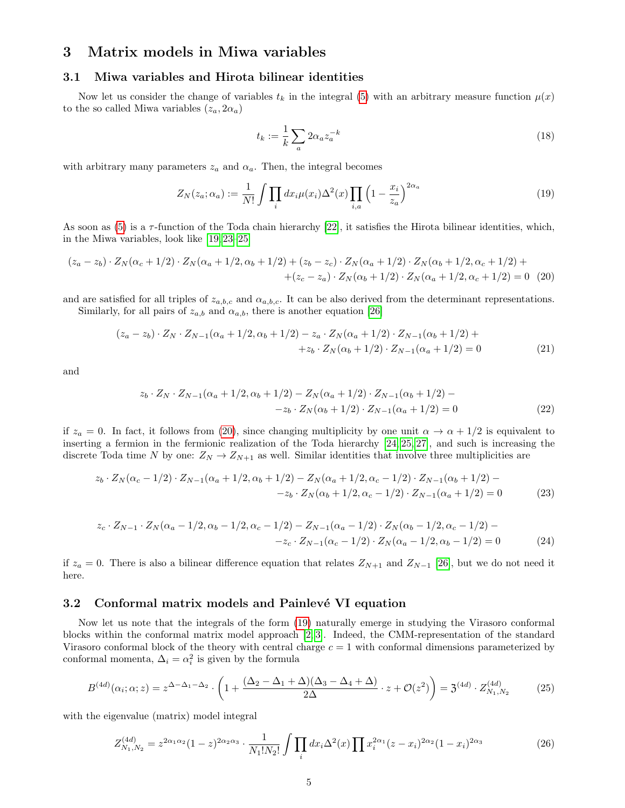# 3 Matrix models in Miwa variables

#### 3.1 Miwa variables and Hirota bilinear identities

Now let us consider the change of variables  $t_k$  in the integral [\(5\)](#page-2-2) with an arbitrary measure function  $\mu(x)$ to the so called Miwa variables  $(z_a, 2\alpha_a)$ 

$$
t_k := \frac{1}{k} \sum_a 2\alpha_a z_a^{-k} \tag{18}
$$

with arbitrary many parameters  $z_a$  and  $\alpha_a$ . Then, the integral becomes

<span id="page-4-2"></span>
$$
Z_N(z_a; \alpha_a) := \frac{1}{N!} \int \prod_i dx_i \mu(x_i) \Delta^2(x) \prod_{i,a} \left(1 - \frac{x_i}{z_a}\right)^{2\alpha_a} \tag{19}
$$

As soon as  $(5)$  is a  $\tau$ -function of the Toda chain hierarchy [\[22\]](#page-12-0), it satisfies the Hirota bilinear identities, which, in the Miwa variables, look like [\[19,](#page-11-15) [23](#page-12-1)[–25\]](#page-12-2)

<span id="page-4-1"></span>
$$
(z_a - z_b) \cdot Z_N(\alpha_c + 1/2) \cdot Z_N(\alpha_a + 1/2, \alpha_b + 1/2) + (z_b - z_c) \cdot Z_N(\alpha_a + 1/2) \cdot Z_N(\alpha_b + 1/2, \alpha_c + 1/2) +
$$
  
 
$$
+ (z_c - z_a) \cdot Z_N(\alpha_b + 1/2) \cdot Z_N(\alpha_a + 1/2, \alpha_c + 1/2) = 0 \tag{20}
$$

and are satisfied for all triples of  $z_{a,b,c}$  and  $\alpha_{a,b,c}$ . It can be also derived from the determinant representations.

Similarly, for all pairs of  $z_{a,b}$  and  $\alpha_{a,b}$ , there is another equation [\[26\]](#page-12-3)

$$
(z_a - z_b) \cdot Z_N \cdot Z_{N-1}(\alpha_a + 1/2, \alpha_b + 1/2) - z_a \cdot Z_N(\alpha_a + 1/2) \cdot Z_{N-1}(\alpha_b + 1/2) ++ z_b \cdot Z_N(\alpha_b + 1/2) \cdot Z_{N-1}(\alpha_a + 1/2) = 0
$$
\n(21)

and

$$
z_b \cdot Z_N \cdot Z_{N-1}(\alpha_a + 1/2, \alpha_b + 1/2) - Z_N(\alpha_a + 1/2) \cdot Z_{N-1}(\alpha_b + 1/2) -
$$
  

$$
-z_b \cdot Z_N(\alpha_b + 1/2) \cdot Z_{N-1}(\alpha_a + 1/2) = 0
$$
 (22)

if  $z_a = 0$ . In fact, it follows from [\(20\)](#page-4-1), since changing multiplicity by one unit  $\alpha \to \alpha + 1/2$  is equivalent to inserting a fermion in the fermionic realization of the Toda hierarchy [\[24,](#page-12-4) [25,](#page-12-2) [27\]](#page-12-5), and such is increasing the discrete Toda time N by one:  $Z_N \to Z_{N+1}$  as well. Similar identities that involve three multiplicities are

<span id="page-4-5"></span>
$$
z_b \cdot Z_N(\alpha_c - 1/2) \cdot Z_{N-1}(\alpha_a + 1/2, \alpha_b + 1/2) - Z_N(\alpha_a + 1/2, \alpha_c - 1/2) \cdot Z_{N-1}(\alpha_b + 1/2) -
$$
  

$$
-z_b \cdot Z_N(\alpha_b + 1/2, \alpha_c - 1/2) \cdot Z_{N-1}(\alpha_a + 1/2) = 0
$$
 (23)

<span id="page-4-4"></span>
$$
z_c \cdot Z_{N-1} \cdot Z_N(\alpha_a - 1/2, \alpha_b - 1/2, \alpha_c - 1/2) - Z_{N-1}(\alpha_a - 1/2) \cdot Z_N(\alpha_b - 1/2, \alpha_c - 1/2) -
$$
  

$$
-z_c \cdot Z_{N-1}(\alpha_c - 1/2) \cdot Z_N(\alpha_a - 1/2, \alpha_b - 1/2) = 0
$$
 (24)

if  $z_a = 0$ . There is also a bilinear difference equation that relates  $Z_{N+1}$  and  $Z_{N-1}$  [\[26\]](#page-12-3), but we do not need it here.

#### <span id="page-4-0"></span>3.2 Conformal matrix models and Painlevé VI equation

Now let us note that the integrals of the form [\(19\)](#page-4-2) naturally emerge in studying the Virasoro conformal blocks within the conformal matrix model approach [\[2,](#page-10-1) [3\]](#page-10-2). Indeed, the CMM-representation of the standard Virasoro conformal block of the theory with central charge  $c = 1$  with conformal dimensions parameterized by conformal momenta,  $\Delta_i = \alpha_i^2$  is given by the formula

$$
B^{(4d)}(\alpha_i; \alpha; z) = z^{\Delta - \Delta_1 - \Delta_2} \cdot \left( 1 + \frac{(\Delta_2 - \Delta_1 + \Delta)(\Delta_3 - \Delta_4 + \Delta)}{2\Delta} \cdot z + \mathcal{O}(z^2) \right) = \mathfrak{Z}^{(4d)} \cdot Z_{N_1, N_2}^{(4d)} \tag{25}
$$

with the eigenvalue (matrix) model integral

<span id="page-4-3"></span>
$$
Z_{N_1,N_2}^{(4d)} = z^{2\alpha_1\alpha_2} (1-z)^{2\alpha_2\alpha_3} \cdot \frac{1}{N_1!N_2!} \int \prod_i dx_i \Delta^2(x) \prod x_i^{2\alpha_1} (z-x_i)^{2\alpha_2} (1-x_i)^{2\alpha_3} \tag{26}
$$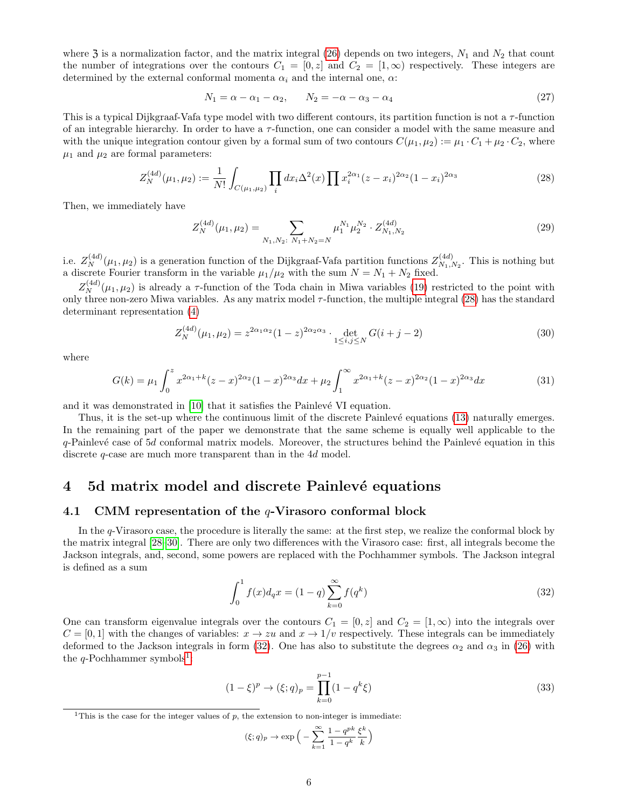where  $3$  is a normalization factor, and the matrix integral [\(26\)](#page-4-3) depends on two integers,  $N_1$  and  $N_2$  that count the number of integrations over the contours  $C_1 = [0, z]$  and  $C_2 = [1, \infty)$  respectively. These integers are determined by the external conformal momenta  $\alpha_i$  and the internal one,  $\alpha$ :

<span id="page-5-3"></span>
$$
N_1 = \alpha - \alpha_1 - \alpha_2, \qquad N_2 = -\alpha - \alpha_3 - \alpha_4 \tag{27}
$$

This is a typical Dijkgraaf-Vafa type model with two different contours, its partition function is not a  $\tau$ -function of an integrable hierarchy. In order to have a  $\tau$ -function, one can consider a model with the same measure and with the unique integration contour given by a formal sum of two contours  $C(\mu_1, \mu_2) := \mu_1 \cdot C_1 + \mu_2 \cdot C_2$ , where  $\mu_1$  and  $\mu_2$  are formal parameters:

<span id="page-5-0"></span>
$$
Z_N^{(4d)}(\mu_1, \mu_2) := \frac{1}{N!} \int_{C(\mu_1, \mu_2)} \prod_i dx_i \Delta^2(x) \prod x_i^{2\alpha_1} (z - x_i)^{2\alpha_2} (1 - x_i)^{2\alpha_3} \tag{28}
$$

Then, we immediately have

$$
Z_N^{(4d)}(\mu_1, \mu_2) = \sum_{N_1, N_2 \colon N_1 + N_2 = N} \mu_1^{N_1} \mu_2^{N_2} \cdot Z_{N_1, N_2}^{(4d)} \tag{29}
$$

i.e.  $Z_N^{(4d)}(\mu_1, \mu_2)$  is a generation function of the Dijkgraaf-Vafa partition functions  $Z_{N_1, l}^{(4d)}$  $N_1, N_2$ . This is nothing but a discrete Fourier transform in the variable  $\mu_1/\mu_2$  with the sum  $N = N_1 + N_2$  fixed.

 $Z_N^{(4d)}(\mu_1,\mu_2)$  is already a  $\tau$ -function of the Toda chain in Miwa variables [\(19\)](#page-4-2) restricted to the point with only three non-zero Miwa variables. As any matrix model  $\tau$ -function, the multiple integral [\(28\)](#page-5-0) has the standard determinant representation [\(4\)](#page-2-1)

$$
Z_N^{(4d)}(\mu_1, \mu_2) = z^{2\alpha_1 \alpha_2} (1-z)^{2\alpha_2 \alpha_3} \cdot \det_{1 \le i,j \le N} G(i+j-2)
$$
 (30)

where

$$
G(k) = \mu_1 \int_0^z x^{2\alpha_1 + k} (z - x)^{2\alpha_2} (1 - x)^{2\alpha_3} dx + \mu_2 \int_1^\infty x^{2\alpha_1 + k} (z - x)^{2\alpha_2} (1 - x)^{2\alpha_3} dx \tag{31}
$$

and it was demonstrated in  $[10]$  that it satisfies the Painlevé VI equation.

Thus, it is the set-up where the continuous limit of the discrete Painlevé equations [\(13\)](#page-3-1) naturally emerges. In the remaining part of the paper we demonstrate that the same scheme is equally well applicable to the  $q$ -Painlevé case of 5d conformal matrix models. Moreover, the structures behind the Painlevé equation in this discrete q-case are much more transparent than in the 4d model.

# 4 5d matrix model and discrete Painlevé equations

#### 4.1 CMM representation of the q-Virasoro conformal block

In the q-Virasoro case, the procedure is literally the same: at the first step, we realize the conformal block by the matrix integral [\[28–](#page-12-6)[30\]](#page-12-7). There are only two differences with the Virasoro case: first, all integrals become the Jackson integrals, and, second, some powers are replaced with the Pochhammer symbols. The Jackson integral is defined as a sum

<span id="page-5-1"></span>
$$
\int_0^1 f(x)d_q x = (1-q)\sum_{k=0}^\infty f(q^k)
$$
\n(32)

One can transform eigenvalue integrals over the contours  $C_1 = [0, z]$  and  $C_2 = [1, \infty)$  into the integrals over  $C = [0, 1]$  with the changes of variables:  $x \to zu$  and  $x \to 1/v$  respectively. These integrals can be immediately deformed to the Jackson integrals in form [\(32\)](#page-5-1). One has also to substitute the degrees  $\alpha_2$  and  $\alpha_3$  in [\(26\)](#page-4-3) with the  $q$ -Pochhammer symbols<sup>[1](#page-5-2)</sup>:

$$
(1 - \xi)^p \to (\xi; q)_p = \prod_{k=0}^{p-1} (1 - q^k \xi)
$$
\n(33)

$$
(\xi;q)_p \to \exp\Big(-\sum_{k=1}^{\infty} \frac{1-q^{pk}}{1-q^k} \frac{\xi^k}{k}\Big)
$$

<span id="page-5-2"></span><sup>&</sup>lt;sup>1</sup>This is the case for the integer values of  $p$ , the extension to non-integer is immediate: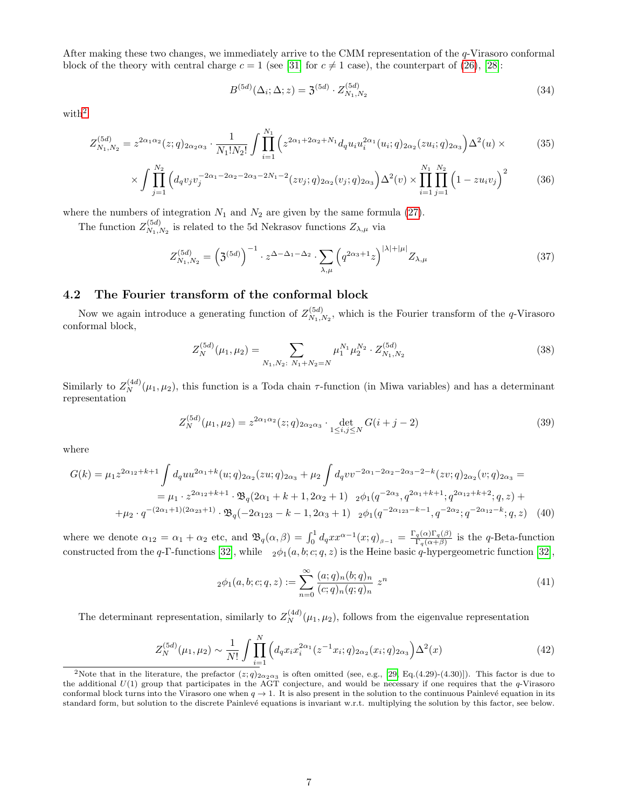After making these two changes, we immediately arrive to the CMM representation of the q-Virasoro conformal block of the theory with central charge  $c = 1$  (see [\[31\]](#page-12-8) for  $c \neq 1$  case), the counterpart of [\(26\)](#page-4-3), [\[28\]](#page-12-6):

$$
B^{(5d)}(\Delta_i; \Delta; z) = 3^{(5d)} \cdot Z_{N_1, N_2}^{(5d)} \tag{34}
$$

with<sup>[2](#page-6-0)</sup>

$$
Z_{N_1,N_2}^{(5d)} = z^{2\alpha_1\alpha_2}(z;q)_{2\alpha_2\alpha_3} \cdot \frac{1}{N_1!N_2!} \int \prod_{i=1}^{N_1} \left( z^{2\alpha_1+2\alpha_2+N_1} d_q u_i u_i^{2\alpha_1}(u_i;q)_{2\alpha_2}(z u_i;q)_{2\alpha_3} \right) \Delta^2(u) \times \tag{35}
$$

$$
\times \int \prod_{j=1}^{N_2} \left( d_q v_j v_j^{-2\alpha_1 - 2\alpha_2 - 2\alpha_3 - 2N_1 - 2} (z v_j; q)_{2\alpha_2} (v_j; q)_{2\alpha_3} \right) \Delta^2(v) \times \prod_{i=1}^{N_1} \prod_{j=1}^{N_2} \left( 1 - z u_i v_j \right)^2 \tag{36}
$$

where the numbers of integration  $N_1$  and  $N_2$  are given by the same formula [\(27\)](#page-5-3).

The function  $Z_{N_1}^{(5d)}$  $\chi_{N_1,N_2}^{(5a)}$  is related to the 5d Nekrasov functions  $Z_{\lambda,\mu}$  via

$$
Z_{N_1,N_2}^{(5d)} = \left(\mathfrak{Z}^{(5d)}\right)^{-1} \cdot z^{\Delta - \Delta_1 - \Delta_2} \cdot \sum_{\lambda,\mu} \left(q^{2\alpha_3 + 1}z\right)^{|\lambda| + |\mu|} Z_{\lambda,\mu} \tag{37}
$$

#### 4.2 The Fourier transform of the conformal block

Now we again introduce a generating function of  $Z_{N_{\rm t}}^{(5d)}$  $N_{1,N_2}$ , which is the Fourier transform of the *q*-Virasoro conformal block,

$$
Z_N^{(5d)}(\mu_1, \mu_2) = \sum_{N_1, N_2 \colon N_1 + N_2 = N} \mu_1^{N_1} \mu_2^{N_2} \cdot Z_{N_1, N_2}^{(5d)} \tag{38}
$$

Similarly to  $Z_N^{(4d)}(\mu_1, \mu_2)$ , this function is a Toda chain  $\tau$ -function (in Miwa variables) and has a determinant representation

<span id="page-6-1"></span>
$$
Z_N^{(5d)}(\mu_1, \mu_2) = z^{2\alpha_1 \alpha_2}(z; q)_{2\alpha_2 \alpha_3} \cdot \det_{1 \le i, j \le N} G(i+j-2)
$$
\n(39)

where

<span id="page-6-3"></span>
$$
G(k) = \mu_1 z^{2\alpha_{12} + k + 1} \int d_q u u^{2\alpha_1 + k} (u; q)_{2\alpha_2} (zu; q)_{2\alpha_3} + \mu_2 \int d_q v v^{-2\alpha_1 - 2\alpha_2 - 2\alpha_3 - 2 - k} (zv; q)_{2\alpha_2} (v; q)_{2\alpha_3} =
$$
  
\n
$$
= \mu_1 \cdot z^{2\alpha_{12} + k + 1} \cdot \mathfrak{B}_q (2\alpha_1 + k + 1, 2\alpha_2 + 1) \quad 2\phi_1 (q^{-2\alpha_3}, q^{2\alpha_1 + k + 1}; q^{2\alpha_{12} + k + 2}; q, z) +
$$
  
\n
$$
+ \mu_2 \cdot q^{-(2\alpha_1 + 1)(2\alpha_{23} + 1)} \cdot \mathfrak{B}_q (-2\alpha_{123} - k - 1, 2\alpha_3 + 1) \quad 2\phi_1 (q^{-2\alpha_{123} - k - 1}, q^{-2\alpha_2}; q^{-2\alpha_{12} - k}; q, z) \quad (40)
$$

where we denote  $\alpha_{12} = \alpha_1 + \alpha_2$  etc, and  $\mathfrak{B}_q(\alpha, \beta) = \int_0^1 d_q x x^{\alpha-1}(x; q)_{\beta-1} = \frac{\Gamma_q(\alpha) \Gamma_q(\beta)}{\Gamma_q(\alpha+\beta)}$  $\frac{q(\alpha) \cdot 1 \cdot q(\beta)}{\Gamma_q(\alpha+\beta)}$  is the q-Beta-function constructed from the q-Γ-functions [\[32\]](#page-12-9), while  $_2\phi_1(a, b; c; q, z)$  is the Heine basic q-hypergeometric function [32],

$$
{}_2\phi_1(a,b;c;q,z) := \sum_{n=0}^{\infty} \frac{(a;q)_n (b;q)_n}{(c;q)_n (q;q)_n} z^n
$$
\n(41)

The determinant representation, similarly to  $Z_N^{(4d)}(\mu_1, \mu_2)$ , follows from the eigenvalue representation

<span id="page-6-2"></span>
$$
Z_N^{(5d)}(\mu_1, \mu_2) \sim \frac{1}{N!} \int \prod_{i=1}^N \left( d_q x_i x_i^{2\alpha_1} (z^{-1} x_i; q)_{2\alpha_2} (x_i; q)_{2\alpha_3} \right) \Delta^2(x) \tag{42}
$$

<span id="page-6-0"></span><sup>&</sup>lt;sup>2</sup>Note that in the literature, the prefactor  $(z; q)_{2\alpha_2\alpha_3}$  is often omitted (see, e.g., [\[29,](#page-12-10) Eq.(4.29)-(4.30)]). This factor is due to the additional  $U(1)$  group that participates in the AGT conjecture, and would be necessary if one requires that the  $q$ -Virasoro conformal block turns into the Virasoro one when  $q \to 1$ . It is also present in the solution to the continuous Painlevé equation in its standard form, but solution to the discrete Painlevé equations is invariant w.r.t. multiplying the solution by this factor, see below.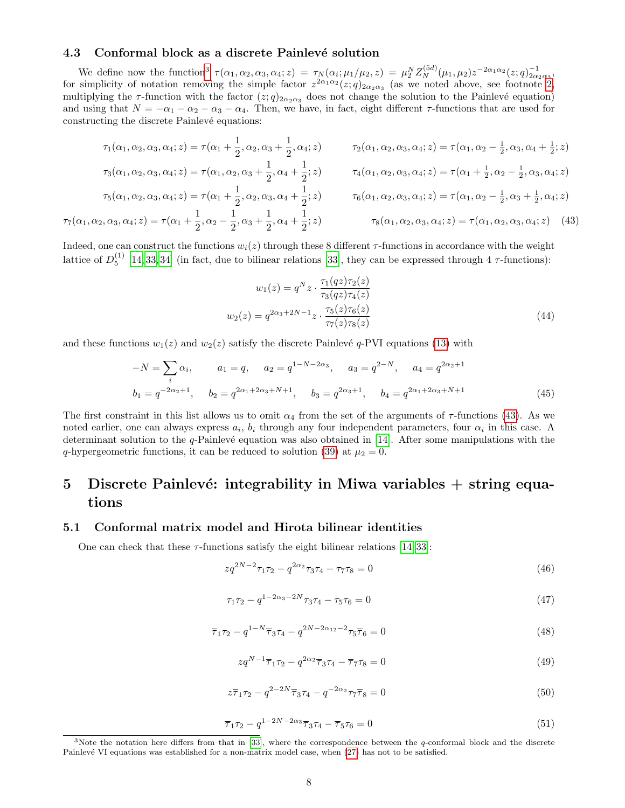#### 4.3 Conformal block as a discrete Painlevé solution

We define now the function<sup>[3](#page-7-0)</sup>  $\tau(\alpha_1, \alpha_2, \alpha_3, \alpha_4; z) = \tau_N(\alpha_i; \mu_1/\mu_2, z) = \mu_2^N Z_N^{(5d)}(\mu_1, \mu_2) z^{-2\alpha_1 \alpha_2}(z; q)_{2\alpha_2 \alpha_3}^{-1}$ for simplicity of notation removing the simple factor  $z^{2\alpha_1\alpha_2}(z;q)_{2\alpha_2\alpha_3}$  (as we noted above, see footnote [2,](#page-6-0) multiplying the  $\tau$ -function with the factor  $(z; q)_{2\alpha_2\alpha_3}$  does not change the solution to the Painlevé equation) and using that  $N = -\alpha_1 - \alpha_2 - \alpha_3 - \alpha_4$ . Then, we have, in fact, eight different  $\tau$ -functions that are used for constructing the discrete Painlevé equations:

<span id="page-7-1"></span>
$$
\tau_1(\alpha_1, \alpha_2, \alpha_3, \alpha_4; z) = \tau(\alpha_1 + \frac{1}{2}, \alpha_2, \alpha_3 + \frac{1}{2}, \alpha_4; z) \qquad \tau_2(\alpha_1, \alpha_2, \alpha_3, \alpha_4; z) = \tau(\alpha_1, \alpha_2 - \frac{1}{2}, \alpha_3, \alpha_4 + \frac{1}{2}; z)
$$

$$
\tau_3(\alpha_1, \alpha_2, \alpha_3, \alpha_4; z) = \tau(\alpha_1, \alpha_2, \alpha_3 + \frac{1}{2}, \alpha_4 + \frac{1}{2}; z) \qquad \tau_4(\alpha_1, \alpha_2, \alpha_3, \alpha_4; z) = \tau(\alpha_1 + \frac{1}{2}, \alpha_2 - \frac{1}{2}, \alpha_3, \alpha_4; z)
$$

$$
\tau_5(\alpha_1, \alpha_2, \alpha_3, \alpha_4; z) = \tau(\alpha_1 + \frac{1}{2}, \alpha_2 - \frac{1}{2}, \alpha_3, \alpha_4; z)
$$

$$
\tau_5(\alpha_1, \alpha_2, \alpha_3, \alpha_4; z) = \tau(\alpha_1 + \frac{1}{2}, \alpha_2, \alpha_3, \alpha_4 + \frac{1}{2}; z) \qquad \tau_6(\alpha_1, \alpha_2, \alpha_3, \alpha_4; z) = \tau(\alpha_1, \alpha_2 - \frac{1}{2}, \alpha_3 + \frac{1}{2}, \alpha_4; z)
$$

$$
\tau_7(\alpha_1, \alpha_2, \alpha_3, \alpha_4; z) = \tau(\alpha_1 + \frac{1}{2}, \alpha_2 - \frac{1}{2}, \alpha_3 + \frac{1}{2}, \alpha_4 + \frac{1}{2}; z) \qquad \tau_8(\alpha_1, \alpha_2, \alpha_3, \alpha_4; z) = \tau(\alpha_1, \alpha_2, \alpha_3, \alpha_4; z) \qquad (43)
$$

Indeed, one can construct the functions  $w_i(z)$  through these 8 different  $\tau$ -functions in accordance with the weight lattice of  $D_5^{(1)}$  [\[14,](#page-11-10) [33,](#page-12-11) [34\]](#page-12-12) (in fact, due to bilinear relations [\[33\]](#page-12-11), they can be expressed through 4  $\tau$ -functions):

<span id="page-7-7"></span>
$$
w_1(z) = q^N z \cdot \frac{\tau_1(qz)\tau_2(z)}{\tau_3(qz)\tau_4(z)}
$$
  

$$
w_2(z) = q^{2\alpha_3 + 2N - 1} z \cdot \frac{\tau_5(z)\tau_6(z)}{\tau_7(z)\tau_8(z)}
$$
 (44)

and these functions  $w_1(z)$  and  $w_2(z)$  satisfy the discrete Painlevé q-PVI equations [\(13\)](#page-3-1) with

<span id="page-7-5"></span>
$$
-N = \sum_{i} \alpha_{i}, \qquad a_{1} = q, \qquad a_{2} = q^{1-N-2\alpha_{3}}, \qquad a_{3} = q^{2-N}, \qquad a_{4} = q^{2\alpha_{2}+1}
$$

$$
b_{1} = q^{-2\alpha_{2}+1}, \qquad b_{2} = q^{2\alpha_{1}+2\alpha_{3}+N+1}, \qquad b_{3} = q^{2\alpha_{3}+1}, \qquad b_{4} = q^{2\alpha_{1}+2\alpha_{3}+N+1}
$$
(45)

The first constraint in this list allows us to omit  $\alpha_4$  from the set of the arguments of  $\tau$ -functions [\(43\)](#page-7-1). As we noted earlier, one can always express  $a_i$ ,  $b_i$  through any four independent parameters, four  $\alpha_i$  in this case. A determinant solution to the  $q$ -Painlevé equation was also obtained in [\[14\]](#page-11-10). After some manipulations with the q-hypergeometric functions, it can be reduced to solution [\(39\)](#page-6-1) at  $\mu_2 = 0$ .

# 5 Discrete Painlevé: integrability in Miwa variables  $+$  string equations

#### 5.1 Conformal matrix model and Hirota bilinear identities

One can check that these  $\tau$ -functions satisfy the eight bilinear relations [\[14,](#page-11-10) [33\]](#page-12-11):

<span id="page-7-3"></span>
$$
zq^{2N-2}\tau_1\tau_2 - q^{2\alpha_2}\tau_3\tau_4 - \tau_7\tau_8 = 0\tag{46}
$$

<span id="page-7-2"></span>
$$
\tau_1 \tau_2 - q^{1 - 2\alpha_3 - 2N} \tau_3 \tau_4 - \tau_5 \tau_6 = 0 \tag{47}
$$

<span id="page-7-4"></span>
$$
\overline{\tau}_1 \tau_2 - q^{1-N} \overline{\tau}_3 \tau_4 - q^{2N - 2\alpha_{12} - 2} \tau_5 \overline{\tau}_6 = 0 \tag{48}
$$

$$
zq^{N-1}\overline{\tau}_1\tau_2 - q^{2\alpha_2}\overline{\tau}_3\tau_4 - \overline{\tau}_7\tau_8 = 0
$$
\n
$$
\tag{49}
$$

$$
z\overline{\tau}_1\tau_2 - q^{2-2N}\overline{\tau}_3\tau_4 - q^{-2\alpha_2}\tau_7\overline{\tau}_8 = 0
$$
\n(50)

<span id="page-7-6"></span>
$$
\overline{\tau}_1 \tau_2 - q^{1-2N-2\alpha_3} \overline{\tau}_3 \tau_4 - \overline{\tau}_5 \tau_6 = 0 \tag{51}
$$

<span id="page-7-0"></span> $3$ Note the notation here differs from that in [\[33\]](#page-12-11), where the correspondence between the  $q$ -conformal block and the discrete Painlevé VI equations was established for a non-matrix model case, when [\(27\)](#page-5-3) has not to be satisfied.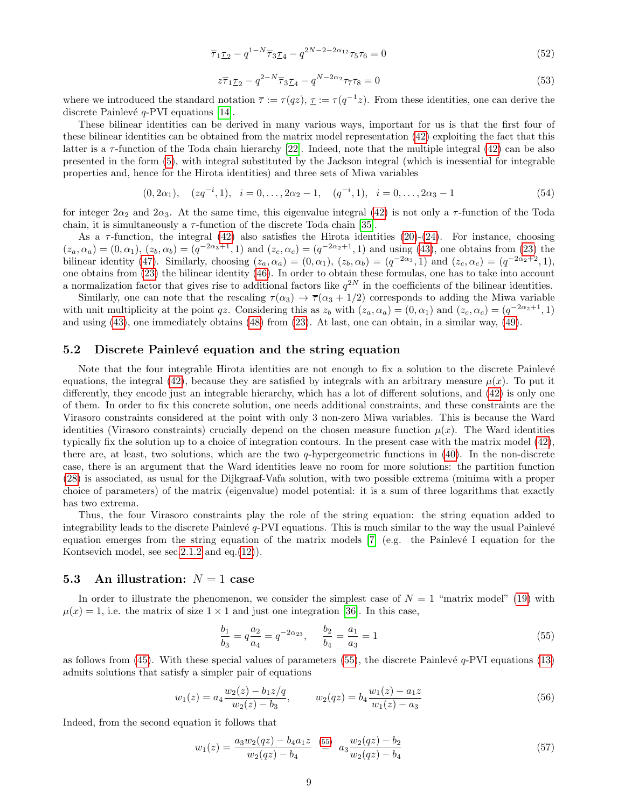<span id="page-8-1"></span>
$$
\overline{\tau}_1 \underline{\tau}_2 - q^{1-N} \overline{\tau}_3 \underline{\tau}_4 - q^{2N-2-2\alpha_{12}} \tau_5 \tau_6 = 0 \tag{52}
$$

<span id="page-8-2"></span>
$$
z\overline{\tau}_{1}\underline{\tau}_{2} - q^{2-N}\overline{\tau}_{3}\underline{\tau}_{4} - q^{N-2\alpha_{2}}\tau_{7}\tau_{8} = 0
$$
\n(53)

where we introduced the standard notation  $\bar{\tau} := \tau(qz)$ ,  $\tau = \tau(q^{-1}z)$ . From these identities, one can derive the discrete Painlevé  $q$ -PVI equations [\[14\]](#page-11-10).

These bilinear identities can be derived in many various ways, important for us is that the first four of these bilinear identities can be obtained from the matrix model representation [\(42\)](#page-6-2) exploiting the fact that this latter is a  $\tau$ -function of the Toda chain hierarchy [\[22\]](#page-12-0). Indeed, note that the multiple integral [\(42\)](#page-6-2) can be also presented in the form [\(5\)](#page-2-2), with integral substituted by the Jackson integral (which is inessential for integrable properties and, hence for the Hirota identities) and three sets of Miwa variables

<span id="page-8-4"></span>
$$
(0, 2\alpha_1), \quad (zq^{-i}, 1), \quad i = 0, \dots, 2\alpha_2 - 1, \quad (q^{-i}, 1), \quad i = 0, \dots, 2\alpha_3 - 1 \tag{54}
$$

for integer  $2\alpha_2$  and  $2\alpha_3$ . At the same time, this eigenvalue integral [\(42\)](#page-6-2) is not only a  $\tau$ -function of the Toda chain, it is simultaneously a  $\tau$ -function of the discrete Toda chain [\[35\]](#page-12-13).

As a  $\tau$ -function, the integral [\(42\)](#page-6-2) also satisfies the Hirota identities [\(20\)](#page-4-1)-[\(24\)](#page-4-4). For instance, choosing  $(z_a, \alpha_a) = (0, \alpha_1), (z_b, \alpha_b) = (q^{-2\alpha_3+1}, 1)$  and  $(z_c, \alpha_c) = (q^{-2\alpha_2+1}, 1)$  and using [\(43\)](#page-7-1), one obtains from [\(23\)](#page-4-5) the bilinear identity [\(47\)](#page-7-2). Similarly, choosing  $(z_a, \alpha_a) = (0, \alpha_1)$ ,  $(z_b, \alpha_b) = (q^{-2\alpha_3}, 1)$  and  $(z_c, \alpha_c) = (q^{-2\alpha_2+2}, 1)$ , one obtains from [\(23\)](#page-4-5) the bilinear identity [\(46\)](#page-7-3). In order to obtain these formulas, one has to take into account a normalization factor that gives rise to additional factors like  $q^{2N}$  in the coefficients of the bilinear identities.

Similarly, one can note that the rescaling  $\tau(\alpha_3) \to \overline{\tau}(\alpha_3 + 1/2)$  corresponds to adding the Miwa variable with unit multiplicity at the point qz. Considering this as  $z_b$  with  $(z_a, \alpha_a) = (0, \alpha_1)$  and  $(z_c, \alpha_c) = (q^{-2\alpha_2+1}, 1)$ and using [\(43\)](#page-7-1), one immediately obtains [\(48\)](#page-7-4) from [\(23\)](#page-4-5). At last, one can obtain, in a similar way, [\(49\)](#page-7-4).

#### 5.2 Discrete Painlevé equation and the string equation

Note that the four integrable Hirota identities are not enough to fix a solution to the discrete Painlevé equations, the integral [\(42\)](#page-6-2), because they are satisfied by integrals with an arbitrary measure  $\mu(x)$ . To put it differently, they encode just an integrable hierarchy, which has a lot of different solutions, and [\(42\)](#page-6-2) is only one of them. In order to fix this concrete solution, one needs additional constraints, and these constraints are the Virasoro constraints considered at the point with only 3 non-zero Miwa variables. This is because the Ward identities (Virasoro constraints) crucially depend on the chosen measure function  $\mu(x)$ . The Ward identities typically fix the solution up to a choice of integration contours. In the present case with the matrix model [\(42\)](#page-6-2), there are, at least, two solutions, which are the two  $q$ -hypergeometric functions in  $(40)$ . In the non-discrete case, there is an argument that the Ward identities leave no room for more solutions: the partition function [\(28\)](#page-5-0) is associated, as usual for the Dijkgraaf-Vafa solution, with two possible extrema (minima with a proper choice of parameters) of the matrix (eigenvalue) model potential: it is a sum of three logarithms that exactly has two extrema.

Thus, the four Virasoro constraints play the role of the string equation: the string equation added to integrability leads to the discrete Painlevé  $q$ -PVI equations. This is much similar to the way the usual Painlevé equation emerges from the string equation of the matrix models  $[7]$  (e.g. the Painlevé I equation for the Kontsevich model, see sec[.2.1.2](#page-2-3) and eq.[\(12\)](#page-3-2)).

#### 5.3 An illustration:  $N = 1$  case

In order to illustrate the phenomenon, we consider the simplest case of  $N = 1$  "matrix model" [\(19\)](#page-4-2) with  $\mu(x) = 1$ , i.e. the matrix of size  $1 \times 1$  and just one integration [\[36\]](#page-12-14). In this case,

<span id="page-8-0"></span>
$$
\frac{b_1}{b_3} = q \frac{a_2}{a_4} = q^{-2\alpha_{23}}, \qquad \frac{b_2}{b_4} = \frac{a_1}{a_3} = 1 \tag{55}
$$

as follows from  $(45)$ . With these special values of parameters  $(55)$ , the discrete Painlevé  $q$ -PVI equations  $(13)$ admits solutions that satisfy a simpler pair of equations

<span id="page-8-3"></span>
$$
w_1(z) = a_4 \frac{w_2(z) - b_1 z/q}{w_2(z) - b_3}, \qquad w_2(qz) = b_4 \frac{w_1(z) - a_1 z}{w_1(z) - a_3} \tag{56}
$$

Indeed, from the second equation it follows that

$$
w_1(z) = \frac{a_3 w_2 (qz) - b_4 a_1 z}{w_2 (qz) - b_4} \stackrel{(55)}{=} a_3 \frac{w_2 (qz) - b_2}{w_2 (qz) - b_4}
$$
\n
$$
(57)
$$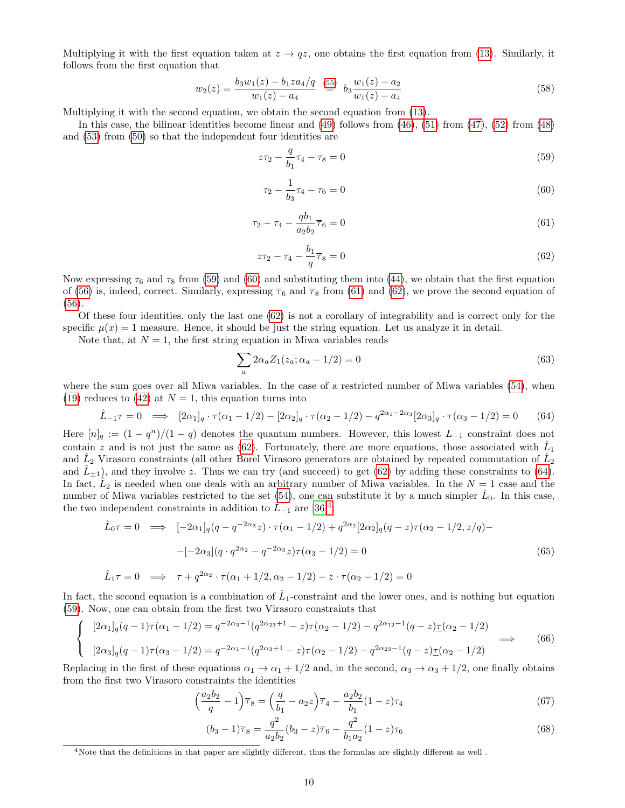Multiplying it with the first equation taken at  $z \to qz$ , one obtains the first equation from [\(13\)](#page-3-1). Similarly, it follows from the first equation that

$$
w_2(z) = \frac{b_3 w_1(z) - b_1 z a_4/q}{w_1(z) - a_4} \stackrel{(55)}{=} b_3 \frac{w_1(z) - a_2}{w_1(z) - a_4}
$$
(58)

Multiplying it with the second equation, we obtain the second equation from [\(13\)](#page-3-1).

In this case, the bilinear identities become linear and [\(49\)](#page-7-4) follows from [\(46\)](#page-7-3), [\(51\)](#page-7-6) from [\(47\)](#page-7-2), [\(52\)](#page-8-1) from [\(48\)](#page-7-4) and [\(53\)](#page-8-2) from [\(50\)](#page-7-4) so that the independent four identities are

<span id="page-9-0"></span>
$$
z\tau_2 - \frac{q}{b_1}\tau_4 - \tau_8 = 0\tag{59}
$$

$$
\tau_2 - \frac{1}{b_3}\tau_4 - \tau_6 = 0\tag{60}
$$

$$
\tau_2 - \tau_4 - \frac{q b_1}{a_2 b_2} \overline{\tau}_6 = 0 \tag{61}
$$

$$
z\tau_2 - \tau_4 - \frac{b_1}{q}\overline{\tau}_8 = 0\tag{62}
$$

Now expressing  $\tau_6$  and  $\tau_8$  from [\(59\)](#page-9-0) and [\(60\)](#page-9-0) and substituting them into [\(44\)](#page-7-7), we obtain that the first equation of [\(56\)](#page-8-3) is, indeed, correct. Similarly, expressing  $\overline{\tau}_6$  and  $\overline{\tau}_8$  from [\(61\)](#page-9-0) and [\(62\)](#page-9-0), we prove the second equation of [\(56\)](#page-8-3).

Of these four identities, only the last one [\(62\)](#page-9-0) is not a corollary of integrability and is correct only for the specific  $\mu(x) = 1$  measure. Hence, it should be just the string equation. Let us analyze it in detail.

Note that, at  $N = 1$ , the first string equation in Miwa variables reads

$$
\sum_{a} 2\alpha_{a} Z_{1}(z_{a}; \alpha_{a} - 1/2) = 0
$$
\n(63)

where the sum goes over all Miwa variables. In the case of a restricted number of Miwa variables [\(54\)](#page-8-4), when [\(19\)](#page-4-2) reduces to [\(42\)](#page-6-2) at  $N = 1$ , this equation turns into

<span id="page-9-1"></span>
$$
\hat{L}_{-1}\tau = 0 \implies [2\alpha_1]_q \cdot \tau(\alpha_1 - 1/2) - [2\alpha_2]_q \cdot \tau(\alpha_2 - 1/2) - q^{2\alpha_1 - 2\alpha_3} [2\alpha_3]_q \cdot \tau(\alpha_3 - 1/2) = 0 \tag{64}
$$

Here  $[n]_q := (1 - q^n)/(1 - q)$  denotes the quantum numbers. However, this lowest  $L_{-1}$  constraint does not contain z and is not just the same as [\(62\)](#page-9-0). Fortunately, there are more equations, those associated with  $\hat{L}_1$ and  $\hat{L}_2$  Virasoro constraints (all other Borel Virasoro generators are obtained by repeated commutation of  $\hat{L}_2$ and  $\hat{L}_{\pm 1}$ ), and they involve z. Thus we can try (and succeed) to get [\(62\)](#page-9-0) by adding these constraints to [\(64\)](#page-9-1). In fact,  $\hat{L}_2$  is needed when one deals with an arbitrary number of Miwa variables. In the  $N=1$  case and the number of Miwa variables restricted to the set  $(54)$ , one can substitute it by a much simpler  $\hat{L}_0$ . In this case, the two independent constraints in addition to  $\hat{L}_{-1}$  are [\[36\]](#page-12-14)<sup>[4](#page-9-2)</sup>:

$$
\hat{L}_0 \tau = 0 \implies [-2\alpha_1]_q (q - q^{-2\alpha_3} z) \cdot \tau (\alpha_1 - 1/2) + q^{2\alpha_2} [2\alpha_2]_q (q - z) \tau (\alpha_2 - 1/2, z/q) -
$$

$$
-[-2\alpha_3] (q \cdot q^{2\alpha_2} - q^{-2\alpha_3} z) \tau (\alpha_3 - 1/2) = 0
$$

$$
\hat{L}_1 \tau = 0 \implies \tau + q^{2\alpha_2} \cdot \tau (\alpha_1 + 1/2, \alpha_2 - 1/2) - z \cdot \tau (\alpha_2 - 1/2) = 0
$$
\n(65)

In fact, the second equation is a combination of  $\hat{L}_1$ -constraint and the lower ones, and is nothing but equation [\(59\)](#page-9-0). Now, one can obtain from the first two Virasoro constraints that

$$
\begin{cases}\n[2\alpha_1]_q(q-1)\tau(\alpha_1-1/2) = q^{-2\alpha_3-1}(q^{2\alpha_2+1}-z)\tau(\alpha_2-1/2) - q^{2\alpha_1-1}(q-z)\underline{\tau}(\alpha_2-1/2) \\
[2\alpha_3]_q(q-1)\tau(\alpha_3-1/2) = q^{-2\alpha_1-1}(q^{2\alpha_3+1}-z)\tau(\alpha_2-1/2) - q^{2\alpha_2-1}(q-z)\underline{\tau}(\alpha_2-1/2)\n\end{cases} \tag{66}
$$

Replacing in the first of these equations  $\alpha_1 \to \alpha_1 + 1/2$  and, in the second,  $\alpha_3 \to \alpha_3 + 1/2$ , one finally obtains from the first two Virasoro constraints the identities

$$
\left(\frac{a_2b_2}{q} - 1\right)\overline{\tau}_8 = \left(\frac{q}{b_1} - a_2z\right)\overline{\tau}_4 - \frac{a_2b_2}{b_1}(1-z)\tau_4\tag{67}
$$

$$
(b_3 - 1)\overline{\tau}_8 = \frac{q^2}{a_2 b_2} (b_3 - z)\overline{\tau}_6 - \frac{q^2}{b_1 a_2} (1 - z)\tau_6
$$
\n(68)

<span id="page-9-2"></span><sup>4</sup>Note that the definitions in that paper are slightly different, thus the formulas are slightly different as well .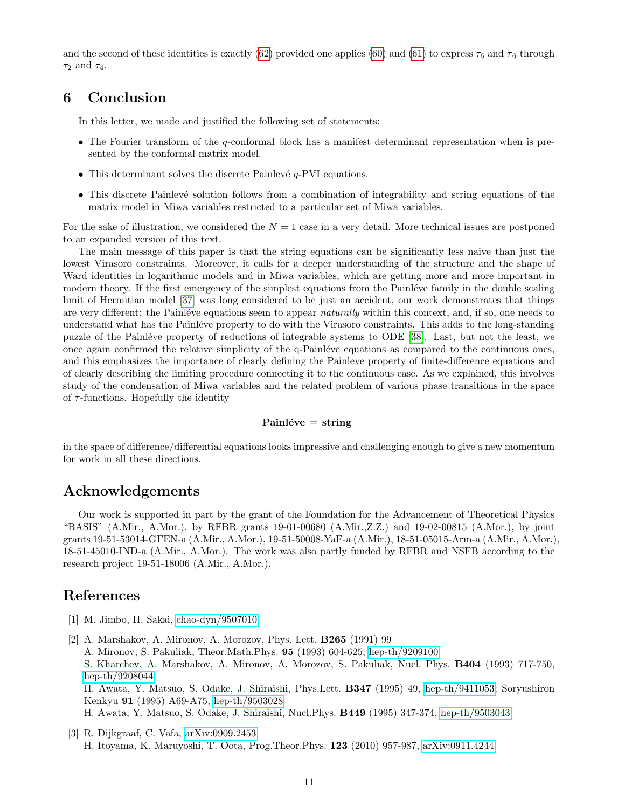and the second of these identities is exactly [\(62\)](#page-9-0) provided one applies [\(60\)](#page-9-0) and [\(61\)](#page-9-0) to express  $\tau_6$  and  $\overline{\tau}_6$  through  $\tau_2$  and  $\tau_4$ .

# 6 Conclusion

In this letter, we made and justified the following set of statements:

- The Fourier transform of the q-conformal block has a manifest determinant representation when is presented by the conformal matrix model.
- This determinant solves the discrete Painlevé  $q$ -PVI equations.
- This discrete Painlevé solution follows from a combination of integrability and string equations of the matrix model in Miwa variables restricted to a particular set of Miwa variables.

For the sake of illustration, we considered the  $N = 1$  case in a very detail. More technical issues are postponed to an expanded version of this text.

The main message of this paper is that the string equations can be significantly less naive than just the lowest Virasoro constraints. Moreover, it calls for a deeper understanding of the structure and the shape of Ward identities in logarithmic models and in Miwa variables, which are getting more and more important in modern theory. If the first emergency of the simplest equations from the Painléve family in the double scaling limit of Hermitian model [\[37\]](#page-12-15) was long considered to be just an accident, our work demonstrates that things are very different: the Painléve equations seem to appear naturally within this context, and, if so, one needs to understand what has the Painléve property to do with the Virasoro constraints. This adds to the long-standing puzzle of the Painléve property of reductions of integrable systems to ODE [\[38\]](#page-12-16). Last, but not the least, we once again confirmed the relative simplicity of the q-Painléve equations as compared to the continuous ones, and this emphasizes the importance of clearly defining the Painleve property of finite-difference equations and of clearly describing the limiting procedure connecting it to the continuous case. As we explained, this involves study of the condensation of Miwa variables and the related problem of various phase transitions in the space of  $\tau$ -functions. Hopefully the identity

#### $Painléve = string$

in the space of difference/differential equations looks impressive and challenging enough to give a new momentum for work in all these directions.

### Acknowledgements

Our work is supported in part by the grant of the Foundation for the Advancement of Theoretical Physics "BASIS" (A.Mir., A.Mor.), by RFBR grants 19-01-00680 (A.Mir.,Z.Z.) and 19-02-00815 (A.Mor.), by joint grants 19-51-53014-GFEN-a (A.Mir., A.Mor.), 19-51-50008-YaF-a (A.Mir.), 18-51-05015-Arm-a (A.Mir., A.Mor.), 18-51-45010-IND-a (A.Mir., A.Mor.). The work was also partly funded by RFBR and NSFB according to the research project 19-51-18006 (A.Mir., A.Mor.).

### References

- <span id="page-10-0"></span>[1] M. Jimbo, H. Sakai, [chao-dyn/9507010](http://arxiv.org/abs/chao-dyn/9507010)
- <span id="page-10-1"></span>[2] A. Marshakov, A. Mironov, A. Morozov, Phys. Lett. B265 (1991) 99 A. Mironov, S. Pakuliak, Theor.Math.Phys. 95 (1993) 604-625, [hep-th/9209100](http://arxiv.org/abs/hep-th/9209100) S. Kharchev, A. Marshakov, A. Mironov, A. Morozov, S. Pakuliak, Nucl. Phys. B404 (1993) 717-750, [hep-th/9208044](http://arxiv.org/abs/hep-th/9208044) H. Awata, Y. Matsuo, S. Odake, J. Shiraishi, Phys.Lett. B347 (1995) 49, [hep-th/9411053;](http://arxiv.org/abs/hep-th/9411053) Soryushiron Kenkyu 91 (1995) A69-A75, [hep-th/9503028](http://arxiv.org/abs/hep-th/9503028) H. Awata, Y. Matsuo, S. Odake, J. Shiraishi, Nucl.Phys. B449 (1995) 347-374, [hep-th/9503043](http://arxiv.org/abs/hep-th/9503043)
- <span id="page-10-2"></span>[3] R. Dijkgraaf, C. Vafa, [arXiv:0909.2453;](http://arxiv.org/abs/0909.2453) H. Itoyama, K. Maruyoshi, T. Oota, Prog.Theor.Phys. 123 (2010) 957-987, [arXiv:0911.4244](http://arxiv.org/abs/0911.4244)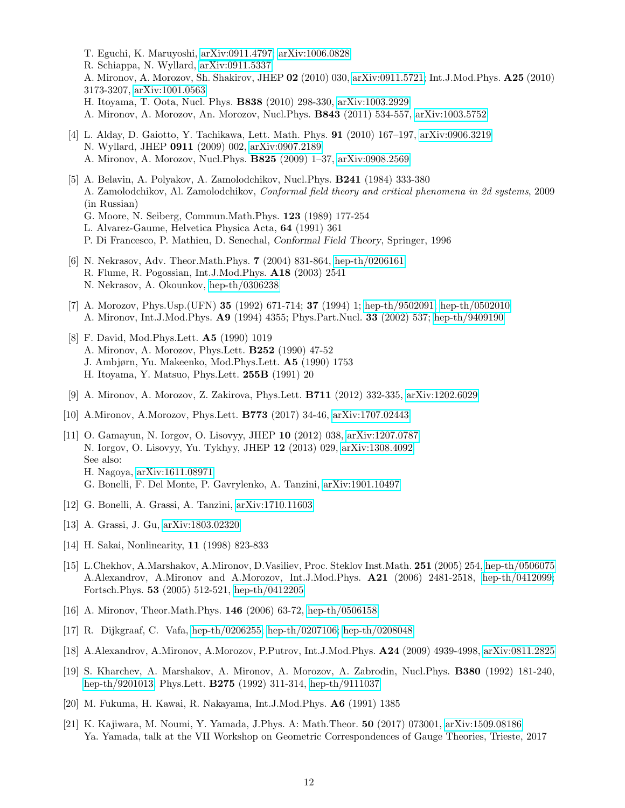- T. Eguchi, K. Maruyoshi, [arXiv:0911.4797;](http://arxiv.org/abs/0911.4797) [arXiv:1006.0828](http://arxiv.org/abs/1006.0828) R. Schiappa, N. Wyllard, [arXiv:0911.5337](http://arxiv.org/abs/0911.5337) A. Mironov, A. Morozov, Sh. Shakirov, JHEP 02 (2010) 030, [arXiv:0911.5721;](http://arxiv.org/abs/0911.5721) Int.J.Mod.Phys. A25 (2010) 3173-3207, [arXiv:1001.0563](http://arxiv.org/abs/1001.0563) H. Itoyama, T. Oota, Nucl. Phys. B838 (2010) 298-330, [arXiv:1003.2929](http://arxiv.org/abs/1003.2929) A. Mironov, A. Morozov, An. Morozov, Nucl.Phys. B843 (2011) 534-557, [arXiv:1003.5752](http://arxiv.org/abs/1003.5752)
- <span id="page-11-0"></span>[4] L. Alday, D. Gaiotto, Y. Tachikawa, Lett. Math. Phys. 91 (2010) 167–197, [arXiv:0906.3219](http://arxiv.org/abs/0906.3219) N. Wyllard, JHEP 0911 (2009) 002, [arXiv:0907.2189](http://arxiv.org/abs/0907.2189) A. Mironov, A. Morozov, Nucl.Phys. B825 (2009) 1–37, [arXiv:0908.2569](http://arxiv.org/abs/0908.2569)
- <span id="page-11-1"></span>[5] A. Belavin, A. Polyakov, A. Zamolodchikov, Nucl.Phys. B241 (1984) 333-380 A. Zamolodchikov, Al. Zamolodchikov, Conformal field theory and critical phenomena in 2d systems, 2009 (in Russian)
	- G. Moore, N. Seiberg, Commun.Math.Phys. 123 (1989) 177-254
	- L. Alvarez-Gaume, Helvetica Physica Acta, 64 (1991) 361
	- P. Di Francesco, P. Mathieu, D. Senechal, Conformal Field Theory, Springer, 1996
- <span id="page-11-2"></span>[6] N. Nekrasov, Adv. Theor.Math.Phys. 7 (2004) 831-864, [hep-th/0206161](http://arxiv.org/abs/hep-th/0206161) R. Flume, R. Pogossian, Int.J.Mod.Phys. A18 (2003) 2541 N. Nekrasov, A. Okounkov, [hep-th/0306238](http://arxiv.org/abs/hep-th/0306238)
- <span id="page-11-3"></span>[7] A. Morozov, Phys.Usp.(UFN) 35 (1992) 671-714; 37 (1994) 1; [hep-th/9502091;](http://arxiv.org/abs/hep-th/9502091) [hep-th/0502010](http://arxiv.org/abs/hep-th/0502010) A. Mironov, Int.J.Mod.Phys. A9 (1994) 4355; Phys.Part.Nucl. 33 (2002) 537; [hep-th/9409190](http://arxiv.org/abs/hep-th/9409190)
- <span id="page-11-4"></span>[8] F. David, Mod.Phys.Lett. A5 (1990) 1019 A. Mironov, A. Morozov, Phys.Lett. B252 (1990) 47-52 J. Ambjørn, Yu. Makeenko, Mod.Phys.Lett. A5 (1990) 1753 H. Itoyama, Y. Matsuo, Phys.Lett. 255B (1991) 20
- <span id="page-11-5"></span>[9] A. Mironov, A. Morozov, Z. Zakirova, Phys.Lett. B711 (2012) 332-335, [arXiv:1202.6029](http://arxiv.org/abs/1202.6029)
- <span id="page-11-6"></span>[10] A.Mironov, A.Morozov, Phys.Lett. B773 (2017) 34-46, [arXiv:1707.02443](http://arxiv.org/abs/1707.02443)
- <span id="page-11-7"></span>[11] O. Gamayun, N. Iorgov, O. Lisovyy, JHEP 10 (2012) 038, [arXiv:1207.0787](http://arxiv.org/abs/1207.0787) N. Iorgov, O. Lisovyy, Yu. Tykhyy, JHEP 12 (2013) 029, [arXiv:1308.4092](http://arxiv.org/abs/1308.4092) See also: H. Nagoya, [arXiv:1611.08971](http://arxiv.org/abs/1611.08971) G. Bonelli, F. Del Monte, P. Gavrylenko, A. Tanzini, [arXiv:1901.10497](http://arxiv.org/abs/1901.10497)
- <span id="page-11-8"></span>[12] G. Bonelli, A. Grassi, A. Tanzini, [arXiv:1710.11603](http://arxiv.org/abs/1710.11603)
- <span id="page-11-9"></span>[13] A. Grassi, J. Gu, [arXiv:1803.02320](http://arxiv.org/abs/1803.02320)
- <span id="page-11-10"></span>[14] H. Sakai, Nonlinearity, 11 (1998) 823-833
- <span id="page-11-11"></span>[15] L.Chekhov, A.Marshakov, A.Mironov, D.Vasiliev, Proc. Steklov Inst.Math. 251 (2005) 254, [hep-th/0506075](http://arxiv.org/abs/hep-th/0506075) A.Alexandrov, A.Mironov and A.Morozov, Int.J.Mod.Phys. A21 (2006) 2481-2518, [hep-th/0412099;](http://arxiv.org/abs/hep-th/0412099) Fortsch.Phys. 53 (2005) 512-521, [hep-th/0412205](http://arxiv.org/abs/hep-th/0412205)
- <span id="page-11-12"></span>[16] A. Mironov, Theor.Math.Phys. 146 (2006) 63-72, [hep-th/0506158](http://arxiv.org/abs/hep-th/0506158)
- <span id="page-11-13"></span>[17] R. Dijkgraaf, C. Vafa, [hep-th/0206255;](http://arxiv.org/abs/hep-th/0206255) [hep-th/0207106;](http://arxiv.org/abs/hep-th/0207106) [hep-th/0208048](http://arxiv.org/abs/hep-th/0208048)
- <span id="page-11-14"></span>[18] A.Alexandrov, A.Mironov, A.Morozov, P.Putrov, Int.J.Mod.Phys. A24 (2009) 4939-4998, [arXiv:0811.2825](http://arxiv.org/abs/0811.2825)
- <span id="page-11-15"></span>[19] S. Kharchev, A. Marshakov, A. Mironov, A. Morozov, A. Zabrodin, Nucl.Phys. B380 (1992) 181-240, [hep-th/9201013;](http://arxiv.org/abs/hep-th/9201013) Phys.Lett. B275 (1992) 311-314, [hep-th/9111037](http://arxiv.org/abs/hep-th/9111037)
- <span id="page-11-16"></span>[20] M. Fukuma, H. Kawai, R. Nakayama, Int.J.Mod.Phys. A6 (1991) 1385
- <span id="page-11-17"></span>[21] K. Kajiwara, M. Noumi, Y. Yamada, J.Phys. A: Math.Theor. 50 (2017) 073001, [arXiv:1509.08186](http://arxiv.org/abs/1509.08186) Ya. Yamada, talk at the VII Workshop on Geometric Correspondences of Gauge Theories, Trieste, 2017